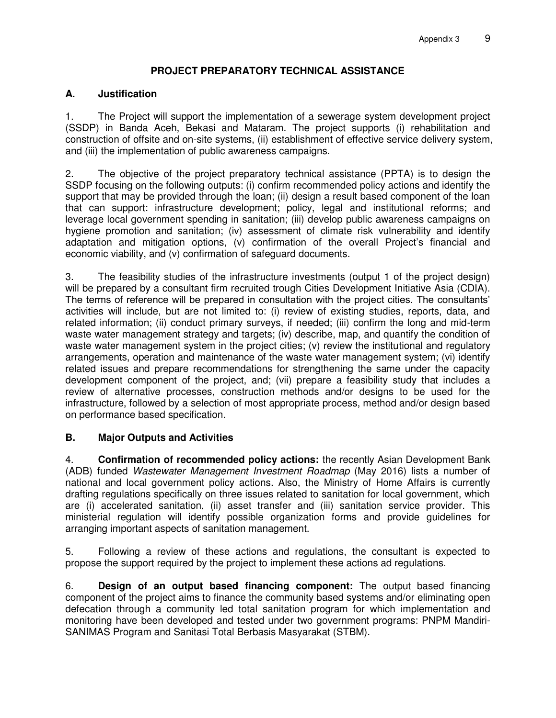# **PROJECT PREPARATORY TECHNICAL ASSISTANCE**

## **A. Justification**

1. The Project will support the implementation of a sewerage system development project (SSDP) in Banda Aceh, Bekasi and Mataram. The project supports (i) rehabilitation and construction of offsite and on-site systems, (ii) establishment of effective service delivery system, and (iii) the implementation of public awareness campaigns.

2. The objective of the project preparatory technical assistance (PPTA) is to design the SSDP focusing on the following outputs: (i) confirm recommended policy actions and identify the support that may be provided through the loan; (ii) design a result based component of the loan that can support: infrastructure development; policy, legal and institutional reforms; and leverage local government spending in sanitation; (iii) develop public awareness campaigns on hygiene promotion and sanitation; (iv) assessment of climate risk vulnerability and identify adaptation and mitigation options, (v) confirmation of the overall Project's financial and economic viability, and (v) confirmation of safeguard documents.

3. The feasibility studies of the infrastructure investments (output 1 of the project design) will be prepared by a consultant firm recruited trough Cities Development Initiative Asia (CDIA). The terms of reference will be prepared in consultation with the project cities. The consultants' activities will include, but are not limited to: (i) review of existing studies, reports, data, and related information; (ii) conduct primary surveys, if needed; (iii) confirm the long and mid-term waste water management strategy and targets; (iv) describe, map, and quantify the condition of waste water management system in the project cities; (v) review the institutional and regulatory arrangements, operation and maintenance of the waste water management system; (vi) identify related issues and prepare recommendations for strengthening the same under the capacity development component of the project, and; (vii) prepare a feasibility study that includes a review of alternative processes, construction methods and/or designs to be used for the infrastructure, followed by a selection of most appropriate process, method and/or design based on performance based specification.

## **B. Major Outputs and Activities**

4. **Confirmation of recommended policy actions:** the recently Asian Development Bank (ADB) funded *Wastewater Management Investment Roadmap* (May 2016) lists a number of national and local government policy actions. Also, the Ministry of Home Affairs is currently drafting regulations specifically on three issues related to sanitation for local government, which are (i) accelerated sanitation, (ii) asset transfer and (iii) sanitation service provider. This ministerial regulation will identify possible organization forms and provide guidelines for arranging important aspects of sanitation management.

5. Following a review of these actions and regulations, the consultant is expected to propose the support required by the project to implement these actions ad regulations.

6. **Design of an output based financing component:** The output based financing component of the project aims to finance the community based systems and/or eliminating open defecation through a community led total sanitation program for which implementation and monitoring have been developed and tested under two government programs: PNPM Mandiri-SANIMAS Program and Sanitasi Total Berbasis Masyarakat (STBM).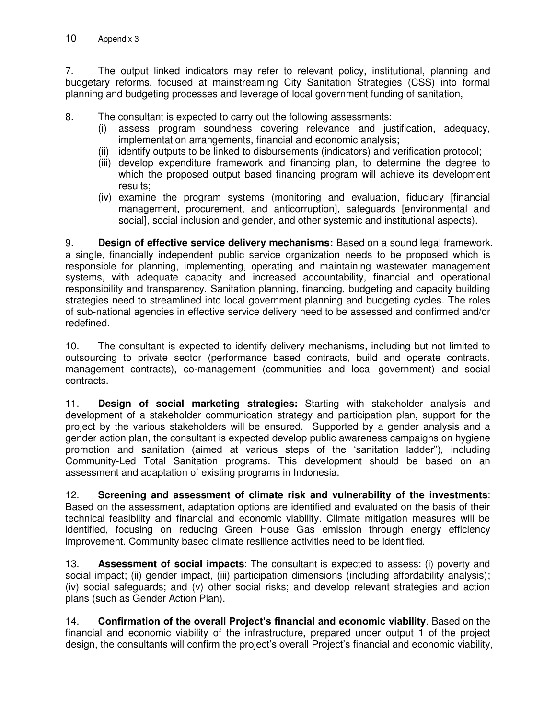7. The output linked indicators may refer to relevant policy, institutional, planning and budgetary reforms, focused at mainstreaming City Sanitation Strategies (CSS) into formal planning and budgeting processes and leverage of local government funding of sanitation,

8. The consultant is expected to carry out the following assessments:

- (i) assess program soundness covering relevance and justification, adequacy, implementation arrangements, financial and economic analysis;
- (ii) identify outputs to be linked to disbursements (indicators) and verification protocol;
- (iii) develop expenditure framework and financing plan, to determine the degree to which the proposed output based financing program will achieve its development results;
- (iv) examine the program systems (monitoring and evaluation, fiduciary [financial management, procurement, and anticorruption], safeguards [environmental and social], social inclusion and gender, and other systemic and institutional aspects).

9. **Design of effective service delivery mechanisms:** Based on a sound legal framework, a single, financially independent public service organization needs to be proposed which is responsible for planning, implementing, operating and maintaining wastewater management systems, with adequate capacity and increased accountability, financial and operational responsibility and transparency. Sanitation planning, financing, budgeting and capacity building strategies need to streamlined into local government planning and budgeting cycles. The roles of sub-national agencies in effective service delivery need to be assessed and confirmed and/or redefined.

10. The consultant is expected to identify delivery mechanisms, including but not limited to outsourcing to private sector (performance based contracts, build and operate contracts, management contracts), co-management (communities and local government) and social contracts.

11. **Design of social marketing strategies:** Starting with stakeholder analysis and development of a stakeholder communication strategy and participation plan, support for the project by the various stakeholders will be ensured. Supported by a gender analysis and a gender action plan, the consultant is expected develop public awareness campaigns on hygiene promotion and sanitation (aimed at various steps of the 'sanitation ladder"), including Community-Led Total Sanitation programs. This development should be based on an assessment and adaptation of existing programs in Indonesia.

12. **Screening and assessment of climate risk and vulnerability of the investments**: Based on the assessment, adaptation options are identified and evaluated on the basis of their technical feasibility and financial and economic viability. Climate mitigation measures will be identified, focusing on reducing Green House Gas emission through energy efficiency improvement. Community based climate resilience activities need to be identified.

13. **Assessment of social impacts**: The consultant is expected to assess: (i) poverty and social impact; (ii) gender impact, (iii) participation dimensions (including affordability analysis); (iv) social safeguards; and (v) other social risks; and develop relevant strategies and action plans (such as Gender Action Plan).

14. **Confirmation of the overall Project's financial and economic viability**. Based on the financial and economic viability of the infrastructure, prepared under output 1 of the project design, the consultants will confirm the project's overall Project's financial and economic viability,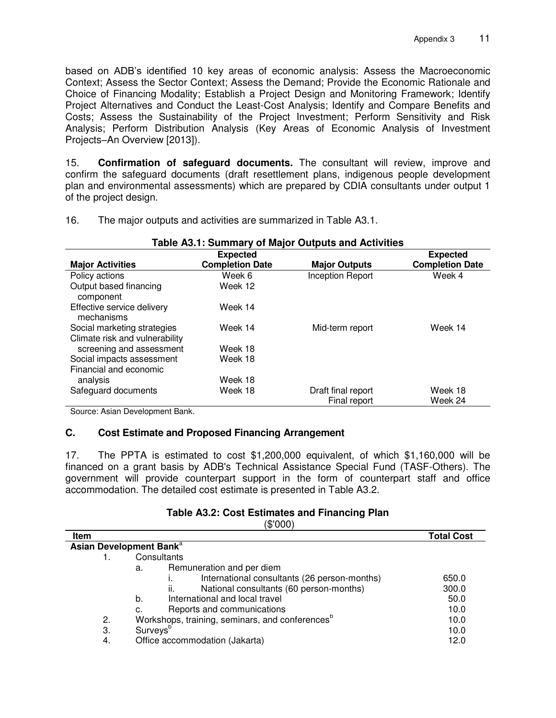based on ADB's identified 10 key areas of economic analysis: Assess the Macroeconomic Context; Assess the Sector Context; Assess the Demand; Provide the Economic Rationale and Choice of Financing Modality; Establish a Project Design and Monitoring Framework; Identify Project Alternatives and Conduct the Least-Cost Analysis; Identify and Compare Benefits and Costs; Assess the Sustainability of the Project Investment; Perform Sensitivity and Risk Analysis; Perform Distribution Analysis (Key Areas of Economic Analysis of Investment Projects–An Overview [2013]).

15. **Confirmation of safeguard documents.** The consultant will review, improve and confirm the safeguard documents (draft resettlement plans, indigenous people development plan and environmental assessments) which are prepared by CDIA consultants under output 1 of the project design.

| Table A3.1: Summary of Major Outputs and Activities           |                        |                                    |                        |
|---------------------------------------------------------------|------------------------|------------------------------------|------------------------|
|                                                               | <b>Expected</b>        |                                    | <b>Expected</b>        |
| <b>Major Activities</b>                                       | <b>Completion Date</b> | <b>Major Outputs</b>               | <b>Completion Date</b> |
| Policy actions                                                | Week 6                 | <b>Inception Report</b>            | Week 4                 |
| Output based financing<br>component                           | Week 12                |                                    |                        |
| Effective service delivery<br>mechanisms                      | Week 14                |                                    |                        |
| Social marketing strategies<br>Climate risk and vulnerability | Week 14                | Mid-term report                    | Week 14                |
| screening and assessment                                      | Week 18                |                                    |                        |
| Social impacts assessment<br>Financial and economic           | Week 18                |                                    |                        |
| analysis                                                      | Week 18                |                                    |                        |
| Safeguard documents                                           | Week 18                | Draft final report<br>Final report | Week 18<br>Week 24     |

16. The major outputs and activities are summarized in Table A3.1.

Source: Asian Development Bank.

## **C. Cost Estimate and Proposed Financing Arrangement**

17. The PPTA is estimated to cost \$1,200,000 equivalent, of which \$1,160,000 will be financed on a grant basis by ADB's Technical Assistance Special Fund (TASF-Others). The government will provide counterpart support in the form of counterpart staff and office accommodation. The detailed cost estimate is presented in Table A3.2.

|  |  | Table A3.2: Cost Estimates and Financing Plan |  |
|--|--|-----------------------------------------------|--|
|  |  |                                               |  |

|      | (\$'000)                                                    |                   |
|------|-------------------------------------------------------------|-------------------|
| Item |                                                             | <b>Total Cost</b> |
|      | Asian Development Bank <sup>a</sup>                         |                   |
|      | Consultants                                                 |                   |
|      | Remuneration and per diem<br>a.                             |                   |
|      | International consultants (26 person-months)                | 650.0             |
|      | ii.<br>National consultants (60 person-months)              | 300.0             |
|      | International and local travel<br>b.                        | 50.0              |
|      | Reports and communications<br>c.                            | 10.0              |
| 2.   | Workshops, training, seminars, and conferences <sup>b</sup> | 10.0              |
| 3.   | Surveys <sup>b</sup>                                        | 10.0              |
| 4.   | Office accommodation (Jakarta)                              | 12.0              |